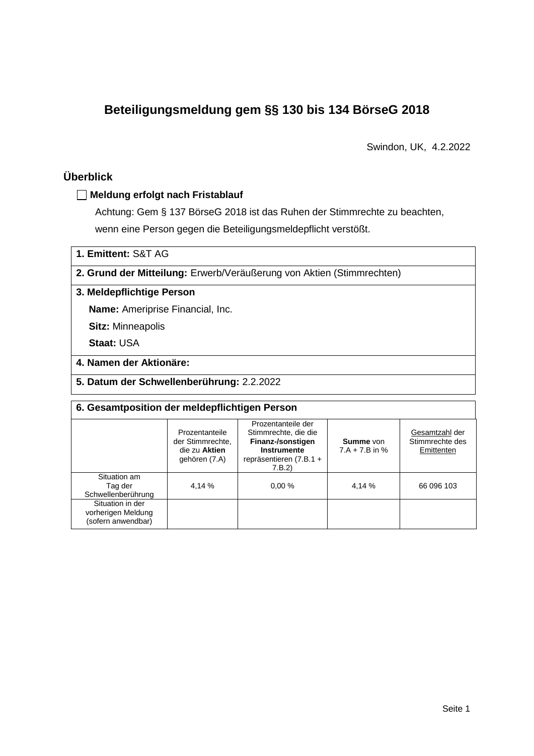# **Beteiligungsmeldung gem §§ 130 bis 134 BörseG 2018**

Swindon, UK, 4.2.2022

### **Überblick**

### **Meldung erfolgt nach Fristablauf**

Achtung: Gem § 137 BörseG 2018 ist das Ruhen der Stimmrechte zu beachten, wenn eine Person gegen die Beteiligungsmeldepflicht verstößt.

**1. Emittent:** S&T AG

**2. Grund der Mitteilung:** Erwerb/Veräußerung von Aktien (Stimmrechten)

### **3. Meldepflichtige Person**

**Name:** Ameriprise Financial, Inc.

**Sitz:** Minneapolis

**Staat:** USA

### **4. Namen der Aktionäre:**

**5. Datum der Schwellenberührung:** 2.2.2022

| 6. Gesamtposition der meldepflichtigen Person                |                                                                      |                                                                                                                    |                                      |                                                 |  |  |  |
|--------------------------------------------------------------|----------------------------------------------------------------------|--------------------------------------------------------------------------------------------------------------------|--------------------------------------|-------------------------------------------------|--|--|--|
|                                                              | Prozentanteile<br>der Stimmrechte,<br>die zu Aktien<br>gehören (7.A) | Prozentanteile der<br>Stimmrechte, die die<br>Finanz-/sonstigen<br>Instrumente<br>repräsentieren (7.B.1 +<br>7.B.2 | <b>Summe</b> von<br>$7.A + 7.B$ in % | Gesamtzahl der<br>Stimmrechte des<br>Emittenten |  |  |  |
| Situation am<br>Tag der<br>Schwellenberührung                | 4.14 %                                                               | 0.00%                                                                                                              | 4,14 %                               | 66 096 103                                      |  |  |  |
| Situation in der<br>vorherigen Meldung<br>(sofern anwendbar) |                                                                      |                                                                                                                    |                                      |                                                 |  |  |  |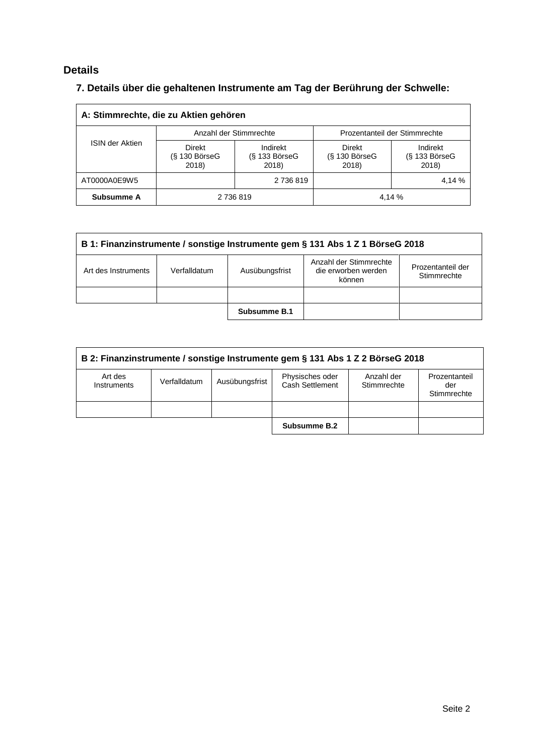### **Details**

## **7. Details über die gehaltenen Instrumente am Tag der Berührung der Schwelle:**

| A: Stimmrechte, die zu Aktien gehören |                                    |                                    |                                           |                                    |  |  |
|---------------------------------------|------------------------------------|------------------------------------|-------------------------------------------|------------------------------------|--|--|
|                                       |                                    | Anzahl der Stimmrechte             | Prozentanteil der Stimmrechte             |                                    |  |  |
| <b>ISIN der Aktien</b>                | Direkt<br>$(S$ 130 BörseG<br>2018) | Indirekt<br>(§ 133 BörseG<br>2018) | <b>Direkt</b><br>$(S$ 130 BörseG<br>2018) | Indirekt<br>(§ 133 BörseG<br>2018) |  |  |
| AT0000A0E9W5                          |                                    | 2 736 819                          |                                           | 4,14 %                             |  |  |
| Subsumme A                            | 2 736 819                          |                                    |                                           | 4,14 %                             |  |  |

| B 1: Finanzinstrumente / sonstige Instrumente gem § 131 Abs 1 Z 1 BörseG 2018                                                                        |  |              |  |  |  |  |
|------------------------------------------------------------------------------------------------------------------------------------------------------|--|--------------|--|--|--|--|
| Anzahl der Stimmrechte<br>Prozentanteil der<br>Ausübungsfrist<br>Verfalldatum<br>die erworben werden<br>Art des Instruments<br>Stimmrechte<br>können |  |              |  |  |  |  |
|                                                                                                                                                      |  |              |  |  |  |  |
|                                                                                                                                                      |  | Subsumme B.1 |  |  |  |  |

| B 2: Finanzinstrumente / sonstige Instrumente gem § 131 Abs 1 Z 2 BörseG 2018 |              |                |                                    |                           |                                     |
|-------------------------------------------------------------------------------|--------------|----------------|------------------------------------|---------------------------|-------------------------------------|
| Art des<br>Instruments                                                        | Verfalldatum | Ausübungsfrist | Physisches oder<br>Cash Settlement | Anzahl der<br>Stimmrechte | Prozentanteil<br>der<br>Stimmrechte |
|                                                                               |              |                |                                    |                           |                                     |
|                                                                               |              |                | Subsumme B.2                       |                           |                                     |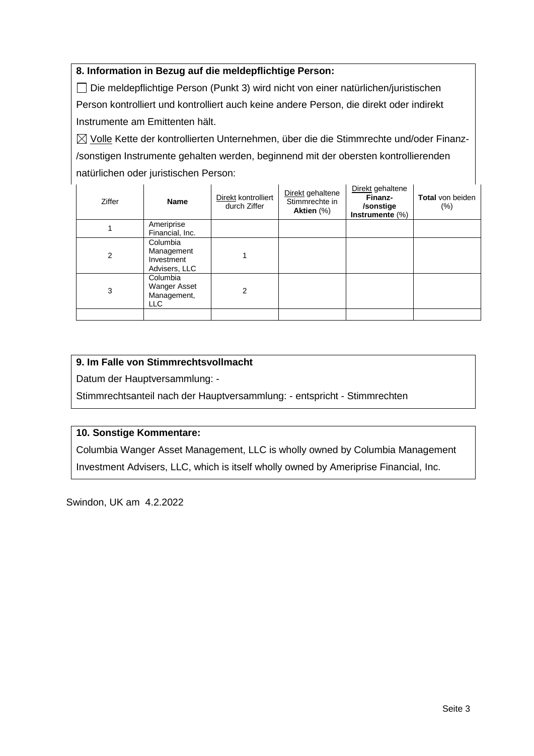### **8. Information in Bezug auf die meldepflichtige Person:**

Die meldepflichtige Person (Punkt 3) wird nicht von einer natürlichen/juristischen Person kontrolliert und kontrolliert auch keine andere Person, die direkt oder indirekt Instrumente am Emittenten hält.

 $\boxtimes$  Volle Kette der kontrollierten Unternehmen, über die die Stimmrechte und/oder Finanz-/sonstigen Instrumente gehalten werden, beginnend mit der obersten kontrollierenden natürlichen oder juristischen Person:

| Ziffer | <b>Name</b>                                           | Direkt kontrolliert<br>durch Ziffer | Direkt gehaltene<br>Stimmrechte in<br>Aktien (%) | Direkt gehaltene<br>Finanz-<br>/sonstige<br>Instrumente $(\%)$ | <b>Total</b> von beiden<br>(%) |
|--------|-------------------------------------------------------|-------------------------------------|--------------------------------------------------|----------------------------------------------------------------|--------------------------------|
|        | Ameriprise<br>Financial, Inc.                         |                                     |                                                  |                                                                |                                |
| 2      | Columbia<br>Management<br>Investment<br>Advisers, LLC |                                     |                                                  |                                                                |                                |
| 3      | Columbia<br>Wanger Asset<br>Management,<br><b>LLC</b> | 2                                   |                                                  |                                                                |                                |
|        |                                                       |                                     |                                                  |                                                                |                                |

### **9. Im Falle von Stimmrechtsvollmacht**

Datum der Hauptversammlung: -

Stimmrechtsanteil nach der Hauptversammlung: - entspricht - Stimmrechten

### **10. Sonstige Kommentare:**

Columbia Wanger Asset Management, LLC is wholly owned by Columbia Management Investment Advisers, LLC, which is itself wholly owned by Ameriprise Financial, Inc.

Swindon, UK am 4.2.2022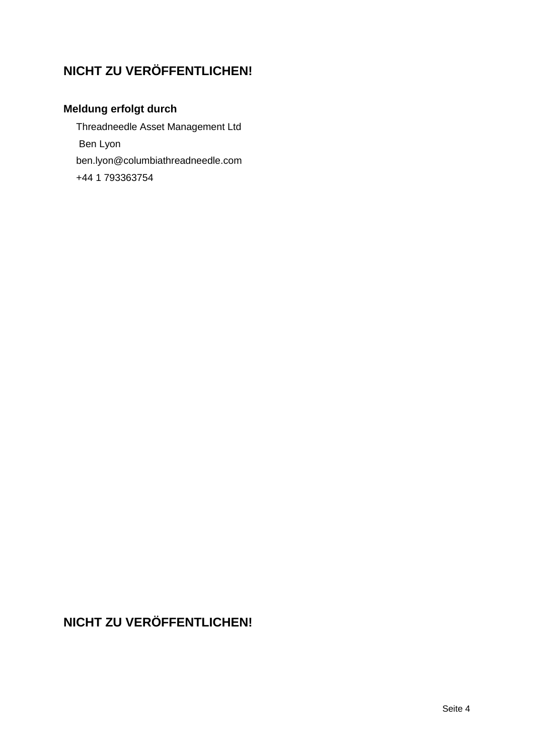# **NICHT ZU VERÖFFENTLICHEN!**

## **Meldung erfolgt durch**

Threadneedle Asset Management Ltd Ben Lyon ben.lyon@columbiathreadneedle.com +44 1 793363754

# **NICHT ZU VERÖFFENTLICHEN!**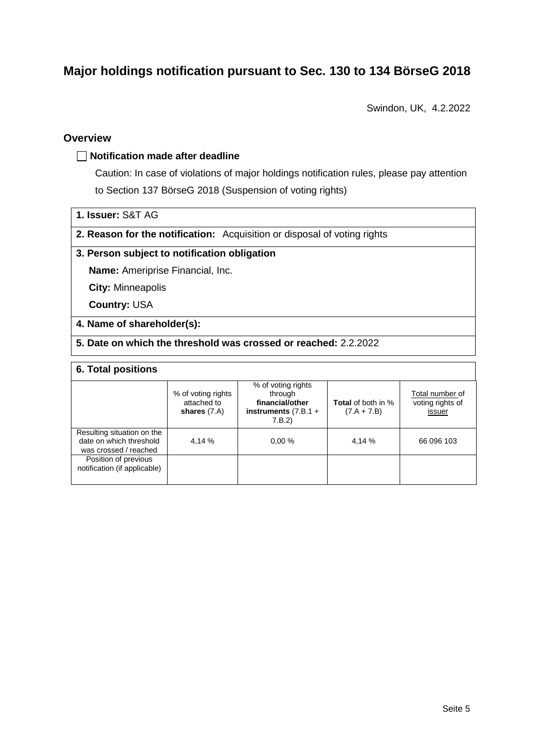## **Major holdings notification pursuant to Sec. 130 to 134 BörseG 2018**

Swindon, UK, 4.2.2022

### **Overview**

#### **Notification made after deadline**

Caution: In case of violations of major holdings notification rules, please pay attention to Section 137 BörseG 2018 (Suspension of voting rights)

**1. Issuer:** S&T AG

**2. Reason for the notification:** Acquisition or disposal of voting rights

#### **3. Person subject to notification obligation**

**Name:** Ameriprise Financial, Inc.

**City:** Minneapolis

**Country:** USA

#### **4. Name of shareholder(s):**

**5. Date on which the threshold was crossed or reached:** 2.2.2022

### **6. Total positions**

|                                                                                | % of voting rights<br>attached to<br>shares $(7.A)$ | % of voting rights<br>through<br>financial/other<br>instruments $(7.B.1 +$<br>7.B.2 | <b>Total</b> of both in %<br>$(7.A + 7.B)$ | Total number of<br>voting rights of<br>issuer |
|--------------------------------------------------------------------------------|-----------------------------------------------------|-------------------------------------------------------------------------------------|--------------------------------------------|-----------------------------------------------|
| Resulting situation on the<br>date on which threshold<br>was crossed / reached | 4,14 %                                              | 0.00%                                                                               | 4,14 %                                     | 66 096 103                                    |
| Position of previous<br>notification (if applicable)                           |                                                     |                                                                                     |                                            |                                               |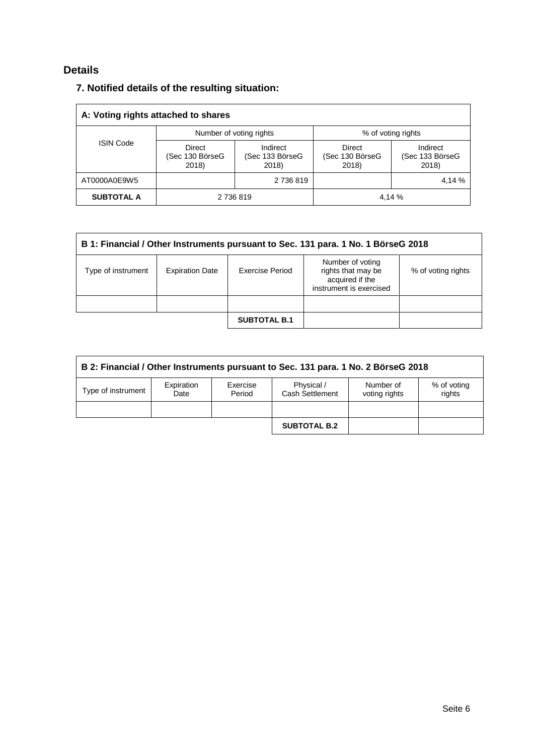### **Details**

|  |  |  |  |  | 7. Notified details of the resulting situation: |
|--|--|--|--|--|-------------------------------------------------|
|--|--|--|--|--|-------------------------------------------------|

| A: Voting rights attached to shares |                                    |                                      |                                           |                                      |  |  |
|-------------------------------------|------------------------------------|--------------------------------------|-------------------------------------------|--------------------------------------|--|--|
|                                     |                                    | Number of voting rights              | % of voting rights                        |                                      |  |  |
| <b>ISIN Code</b>                    | Direct<br>(Sec 130 BörseG<br>2018) | Indirect<br>(Sec 133 BörseG<br>2018) | <b>Direct</b><br>(Sec 130 BörseG<br>2018) | Indirect<br>(Sec 133 BörseG<br>2018) |  |  |
| AT0000A0E9W5                        |                                    | 2 736 819                            |                                           | 4,14 %                               |  |  |
| <b>SUBTOTAL A</b>                   |                                    | 2 736 819                            |                                           | 4.14 %                               |  |  |

| B 1: Financial / Other Instruments pursuant to Sec. 131 para. 1 No. 1 BörseG 2018 |                        |                     |                                                                                      |                    |  |
|-----------------------------------------------------------------------------------|------------------------|---------------------|--------------------------------------------------------------------------------------|--------------------|--|
| Type of instrument                                                                | <b>Expiration Date</b> | Exercise Period     | Number of voting<br>rights that may be<br>acquired if the<br>instrument is exercised | % of voting rights |  |
|                                                                                   |                        |                     |                                                                                      |                    |  |
|                                                                                   |                        | <b>SUBTOTAL B.1</b> |                                                                                      |                    |  |

| B 2: Financial / Other Instruments pursuant to Sec. 131 para. 1 No. 2 BörseG 2018 |                    |                    |                               |                            |                       |  |
|-----------------------------------------------------------------------------------|--------------------|--------------------|-------------------------------|----------------------------|-----------------------|--|
| Type of instrument                                                                | Expiration<br>Date | Exercise<br>Period | Physical /<br>Cash Settlement | Number of<br>voting rights | % of voting<br>rights |  |
|                                                                                   |                    |                    |                               |                            |                       |  |
|                                                                                   |                    |                    | <b>SUBTOTAL B.2</b>           |                            |                       |  |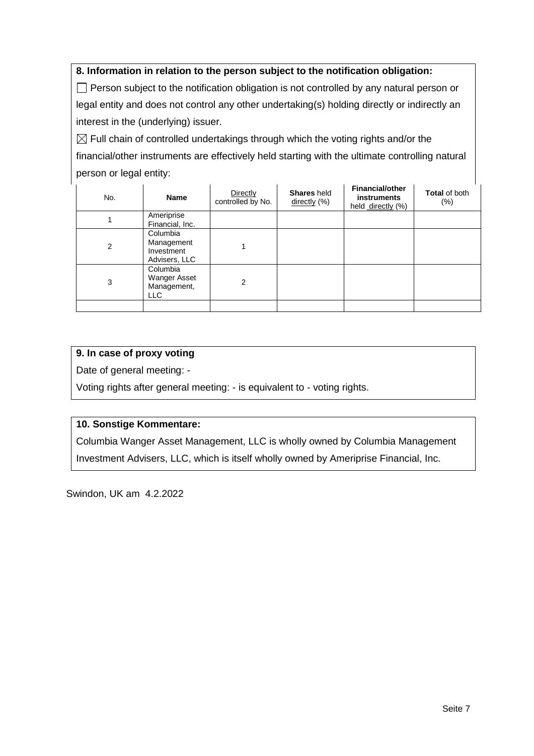### **8. Information in relation to the person subject to the notification obligation:**

 $\Box$  Person subject to the notification obligation is not controlled by any natural person or legal entity and does not control any other undertaking(s) holding directly or indirectly an interest in the (underlying) issuer.

 $\boxtimes$  Full chain of controlled undertakings through which the voting rights and/or the financial/other instruments are effectively held starting with the ultimate controlling natural person or legal entity:

| No. | <b>Name</b>                                           | Directly<br>controlled by No. | <b>Shares</b> held<br>directly (%) | <b>Financial/other</b><br><b>instruments</b><br>held directly (%) | <b>Total of both</b><br>$(\% )$ |
|-----|-------------------------------------------------------|-------------------------------|------------------------------------|-------------------------------------------------------------------|---------------------------------|
|     | Ameriprise<br>Financial, Inc.                         |                               |                                    |                                                                   |                                 |
| 2   | Columbia<br>Management<br>Investment<br>Advisers, LLC |                               |                                    |                                                                   |                                 |
| 3   | Columbia<br>Wanger Asset<br>Management,<br>LLC        | 2                             |                                    |                                                                   |                                 |
|     |                                                       |                               |                                    |                                                                   |                                 |

### **9. In case of proxy voting**

Date of general meeting: -

Voting rights after general meeting: - is equivalent to - voting rights.

### **10. Sonstige Kommentare:**

Columbia Wanger Asset Management, LLC is wholly owned by Columbia Management Investment Advisers, LLC, which is itself wholly owned by Ameriprise Financial, Inc.

Swindon, UK am 4.2.2022